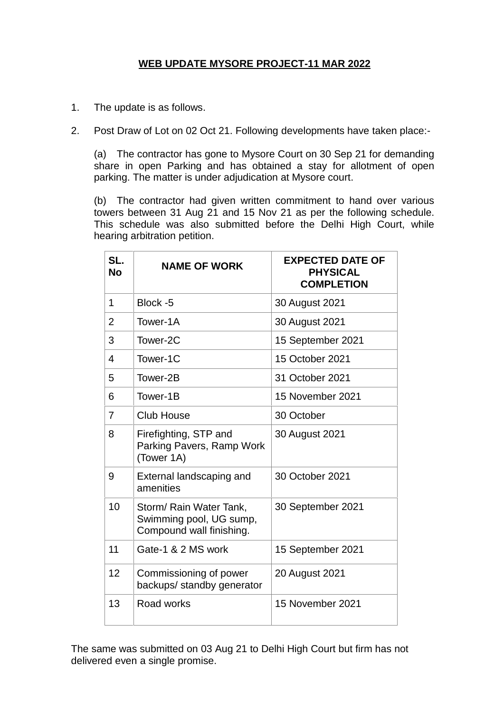## **WEB UPDATE MYSORE PROJECT-11 MAR 2022**

- 1. The update is as follows.
- 2. Post Draw of Lot on 02 Oct 21. Following developments have taken place:-

(a) The contractor has gone to Mysore Court on 30 Sep 21 for demanding share in open Parking and has obtained a stay for allotment of open parking. The matter is under adjudication at Mysore court.

(b) The contractor had given written commitment to hand over various towers between 31 Aug 21 and 15 Nov 21 as per the following schedule. This schedule was also submitted before the Delhi High Court, while hearing arbitration petition.

| SL.<br><b>No</b> | <b>NAME OF WORK</b>                                                            | <b>EXPECTED DATE OF</b><br><b>PHYSICAL</b><br><b>COMPLETION</b> |
|------------------|--------------------------------------------------------------------------------|-----------------------------------------------------------------|
| 1                | Block -5                                                                       | 30 August 2021                                                  |
| $\overline{2}$   | Tower-1A                                                                       | 30 August 2021                                                  |
| 3                | Tower-2C                                                                       | 15 September 2021                                               |
| 4                | Tower-1C                                                                       | 15 October 2021                                                 |
| 5                | Tower-2B                                                                       | 31 October 2021                                                 |
| 6                | Tower-1B                                                                       | 15 November 2021                                                |
| $\overline{7}$   | <b>Club House</b>                                                              | 30 October                                                      |
| 8                | Firefighting, STP and<br>Parking Pavers, Ramp Work<br>(Tower 1A)               | 30 August 2021                                                  |
| 9                | External landscaping and<br>amenities                                          | 30 October 2021                                                 |
| 10               | Storm/ Rain Water Tank,<br>Swimming pool, UG sump,<br>Compound wall finishing. | 30 September 2021                                               |
| 11               | Gate-1 & 2 MS work                                                             | 15 September 2021                                               |
| 12               | Commissioning of power<br>backups/ standby generator                           | 20 August 2021                                                  |
| 13               | Road works                                                                     | 15 November 2021                                                |

The same was submitted on 03 Aug 21 to Delhi High Court but firm has not delivered even a single promise.